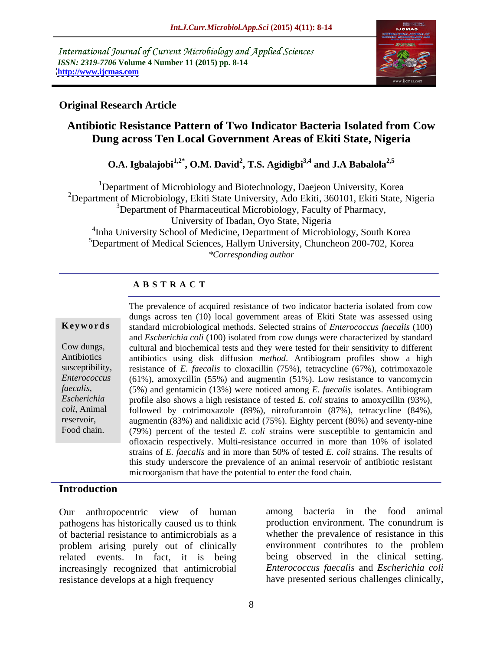International Journal of Current Microbiology and Applied Sciences *ISSN: 2319-7706* **Volume 4 Number 11 (2015) pp. 8-14 <http://www.ijcmas.com>**



## **Original Research Article**

# **Antibiotic Resistance Pattern of Two Indicator Bacteria Isolated from Cow Dung across Ten Local Government Areas of Ekiti State, Nigeria**

# **O.A. Igbalajobi1,2\*, O.M. David2 , T.S. Agidigbi3,4 and J.A Babalola2,5**

<sup>1</sup>Department of Microbiology and Biotechnology, Daejeon University, Korea <sup>2</sup>Department of Microbiology, Ekiti State University, Ado Ekiti, 360101, Ekiti State, Nigeria <sup>3</sup>Department of Pharmaceutical Microbiology, Faculty of Pharmacy, University of Ibadan, Oyo State, Nigeria 4 Inha University School of Medicine, Department of Microbiology, South Korea 5Department of Medical Sciences, Hallym University, Chuncheon 200-702, Korea *\*Corresponding author*

# **A B S T R A C T**

*faecalis*, Food chain.

The prevalence of acquired resistance of two indicator bacteria isolated from cow dungs across ten (10) local government areas of Ekiti State was assessed using standard microbiological methods. Selected strains of *Enterococcus faecalis* (100) **Ke ywo rds** and *Escherichia coli* (100) isolated from cow dungs were characterized by standard cultural and biochemical tests and they were tested for their sensitivity to different Cow dungs, antibiotics using disk diffusion *method*. Antibiogram profiles show a high Antibiotics susceptibility, resistance of *E. faecalis* to cloxacillin (75%), tetracycline (67%), cotrimoxazole (61%), amoxycillin (55%) and augmentin (51%). Low resistance to vancomycin *Enterococcus*  (5%) and gentamicin (13%) were noticed among *E. faecalis* isolates. Antibiogram profile also shows a high resistance of tested *E. coli* strains to amoxycillin (93%), *Escherichia*  followed by cotrimoxazole (89%), nitrofurantoin (87%), tetracycline (84%), *coli*, Animal reservoir, augmentin (83%) and nalidixic acid (75%). Eighty percent (80%) and seventy-nine (79%) percent of the tested *E. coli* strains were susceptible to gentamicin and ofloxacin respectively. Multi-resistance occurred in more than 10% of isolated strains of *E. faecalis* and in more than 50% of tested *E. coli* strains. The results of this study underscore the prevalence of an animal reservoir of antibiotic resistant microorganism that have the potential to enter the food chain.

## **Introduction**

Our anthropocentric view of human pathogens has historically caused us to think of bacterial resistance to antimicrobials as a<br>
original whether the prevalence of resistance in this<br>
original problem<br>
original problem<br>
original problem<br>
original problem<br>
original problem<br>
original problem<br>
original pr problem arising purely out of clinically related events. In fact, it is being increasingly recognized that antimicrobial resistance develops at a high frequency have presented serious challenges clinically,

bacteria in the food animal production environment. The conundrum is whether the prevalence of resistance in this environment contributes to the problem being observed in the clinical setting. *Enterococcus faecalis* and *Escherichia coli*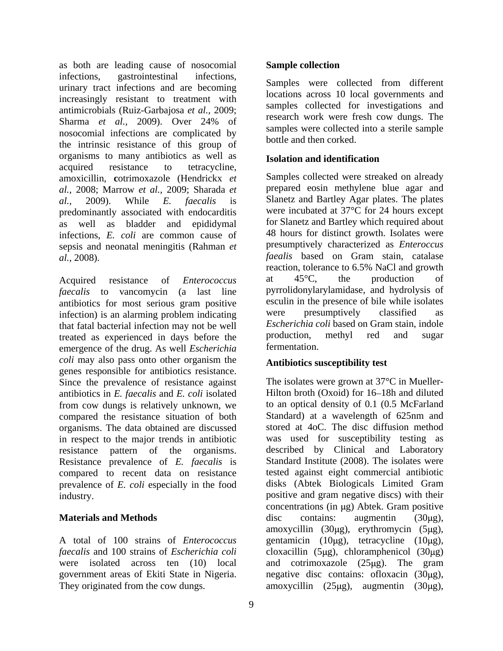as both are leading cause of nosocomial infections, gastrointestinal infections, urinary tract infections and are becoming increasingly resistant to treatment with antimicrobials (Ruiz-Garbajosa *et al.,* 2009; Sharma *et al.,* 2009). Over 24% of nosocomial infections are complicated by the intrinsic resistance of this group of organisms to many antibiotics as well as acquired resistance to tetracycline, amoxicillin, **c**otrimoxazole (Hendrickx *et al.,* 2008; Marrow *et al.,* 2009; Sharada *et al.,* 2009). While *E. faecalis* is Slanetz and Bartley Agar plates. The plates predominantly associated with endocarditis as well as bladder and epididymal infections, *E. coli* are common cause of sepsis and neonatal meningitis (Rahman *et al.,* 2008). *faealis* based on Gram stain, catalase

Acquired resistance of *Enterococcus* at 45<sup>o</sup>C, the production of *faecalis* to vancomycin (a last line pyrrolidonylarylamidase, and hydrolysis of antibiotics for most serious gram positive<br>infection is an alarming problem indicating<br>were presumptively classified as infection) is an alarming problem indicating that fatal bacterial infection may not be well *Escherichia coli* based on Gram stain, indole<br>treated as experienced in days before the production, methyl red and sugar treated as experienced in days before the production,<br>emergence of the drug As well Escherichia fermentation. emergence of the drug. As well *Escherichia coli* may also pass onto other organism the genes responsible for antibiotics resistance. antibiotics in *E. faecalis* and *E. coli* isolated from cow dungs is relatively unknown, we compared the resistance situation of both organisms. The data obtained are discussed in respect to the major trends in antibiotic Resistance prevalence of *E. faecalis* is compared to recent data on resistance prevalence of *E. coli* especially in the food

# **Sample collection**

Samples were collected from different locations across 10 local governments and samples collected for investigations and research work were fresh cow dungs. The samples were collected into a sterile sample bottle and then corked.

## **Isolation and identification**

Samples collected were streaked on already prepared eosin methylene blue agar and were incubated at 37°C for 24 hours except for Slanetz and Bartley which required about 48 hours for distinct growth. Isolates were presumptively characterized as *Enteroccus*  reaction, tolerance to 6.5% NaCl and growth at 45°C, the production of esculin in the presence of bile while isolates were presumptively classified as *Escherichia coli* based on Gram stain, indole production, methyl red and sugar fermentation.

## **Antibiotics susceptibility test**

Since the prevalence of resistance against The isolates were grown at 37<sup>o</sup>C in Muellerresistance pattern of the organisms. described by Clinical and Laboratory industry. positive and gram negative discs) with their **Materials and Methods Contains**: all also accontains: augmenting (30 kg), A total of 100 strains of *Enterococcus* gentamicin (10µg), tetracycline (10µg), *faecalis* and 100 strains of *Escherichia coli* cloxacillin (5µg), chloramphenicol (30µg) were isolated across ten (10) local and cotrimoxazole (25µg). The gram government areas of Ekiti State in Nigeria. Inegative disc contains: ofloxacin (30µg), They originated from the cow dungs.  $\frac{1}{25\mu}$  amoxycillin (25 $\mu$ g), augmentin (30 $\mu$ g), Hilton broth (Oxoid) for 16–18h and diluted to an optical density of 0.1 (0.5 McFarland Standard) at a wavelength of 625nm and stored at 4oC. The disc diffusion method was used for susceptibility testing as Standard Institute (2008). The isolates were tested against eight commercial antibiotic disks (Abtek Biologicals Limited Gram concentrations (in  $\mu$ g) Abtek. Gram positive disc contains: augmentin  $(30\mu g)$ , amoxycillin  $(30\mu g)$ , erythromycin  $(5\mu g)$ ,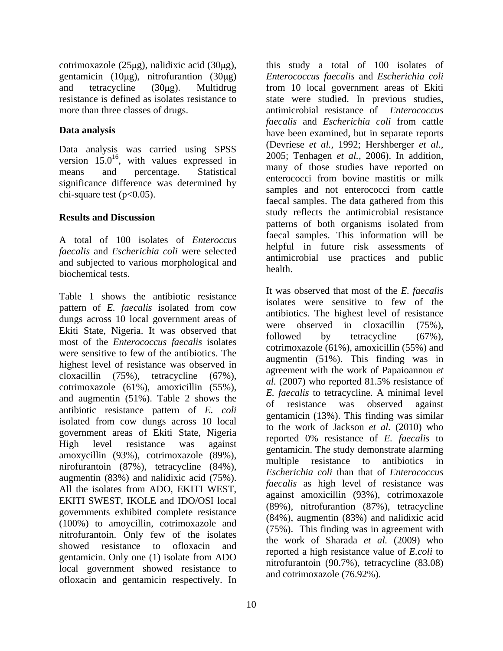cotrimoxazole (25µg), nalidixic acid (30µg), gentamicin (10 $\mu$ g), nitrofurantion (30 $\mu$ g) resistance is defined as isolates resistance to state were studied. In previous studies, more than three classes of drugs. The interventional resistance of *Enterococcus* 

Data analysis was carried using SPSS significance difference was determined by

A total of 100 isolates of *Enteroccus faecalis* and *Escherichia coli* were selected and subjected to various morphological and  $h$  health. biochemical tests.

Table 1 shows the antibiotic resistance pattern of *E. faecalis* isolated from cow dungs across 10 local government areas of Ekiti State, Nigeria. It was observed that were observed in cloxacilin (15%),<br>followed by tetracycline (67%), most of the *Enterococcus faecalis* isolates were sensitive to few of the antibiotics. The highest level of resistance was observed in cloxacillin (75%), tetracycline (67%), agreement with the work of rapabalmou et  $al. (2007)$  who reported 81.5% resistance of cotrimoxazole (61%), amoxicillin (55%), and augmentin  $(51\%)$ . Table 2 shows the the state of resistance was observed against antibiotic resistance pattern of *E. coli*  isolated from cow dungs across 10 local government areas of Ekiti State, Nigeria amoxycillin (93%), cotrimoxazole (89%), exercise esistance to antibiotics in nirofurantoin (87%), tetracycline (84%), augmentin (83%) and nalidixic acid (75%). All the isolates from ADO, EKITI WEST, EKITI SWEST, IKOLE and IDO/OSI local governments exhibited complete resistance (100%) to amoycillin, cotrimoxazole and nitrofurantoin. Only few of the isolates showed resistance to ofloxacin and gentamicin. Only one (1) isolate from ADO local government showed resistance to ofloxacin and gentamicin respectively. In

and tetracycline (30µg). Multidrug from 10 local government areas of Ekiti **Data analysis** have been examined, but in separate reports version  $15.0^{16}$ , with values expressed in  $\frac{2003}{100}$ , remagen *et al.*, 2000). In addition, <sup>16</sup> with values expressed in 2005; Tenhagen *et al.*, 2006). In addition, means and percentage. Statistical limits of those studies have reported on chi-square test  $(p<0.05)$ .<br>
samples and not enerococci from cattle<br>
faecal samples. The data gathered from this **Results and Discussion Results and Discussion** this study a total of 100 isolates of *Enterococcus faecalis* and *Escherichia coli* state were studied. In previous studies, antimicrobial resistance of *Enterococcus faecalis* and *Escherichia coli* from cattle (Devriese *et al.,* 1992; Hershberger *et al.,* many of those studies have reported on enterococci from bovine mastitis or milk samples and not enterococci from cattle faecal samples. The data gathered from this study reflects the antimicrobial resistance patterns of both organisms isolated from faecal samples. This information will be helpful in future risk assessments of antimicrobial use practices and public health. **health health health health health health health health health health health health health health health health health health health health health health health health** 

High level resistance was against reported  $\sigma$  resistance of E. Jaccans to remove that  $\sigma$  resistance of E. Jaccans to It was observed that most of the *E. faecalis* isolates were sensitive to few of the antibiotics. The highest level of resistance were observed in cloxacillin (75%), followed by tetracycline (67%), cotrimoxazole (61%), amoxicillin (55%) and augmentin (51%). This finding was in agreement with the work of Papaioannou *et al.* (2007) who reported 81.5% resistance of *E. faecalis* to tetracycline. A minimal level of resistance was observed against gentamicin (13%). This finding was similar to the work of Jackson *et al.* (2010) who reported 0% resistance of *E. faecalis* to multiple resistance to antibiotics in *Escherichia coli* than that of *Enterococcus faecalis* as high level of resistance was against amoxicillin (93%), cotrimoxazole (89%), nitrofurantion (87%), tetracycline (84%), augmentin (83%) and nalidixic acid (75%). This finding was in agreement with the work of Sharada *et al.* (2009) who reported a high resistance value of *E.coli* to nitrofurantoin (90.7%), tetracycline (83.08) and cotrimoxazole (76.92%).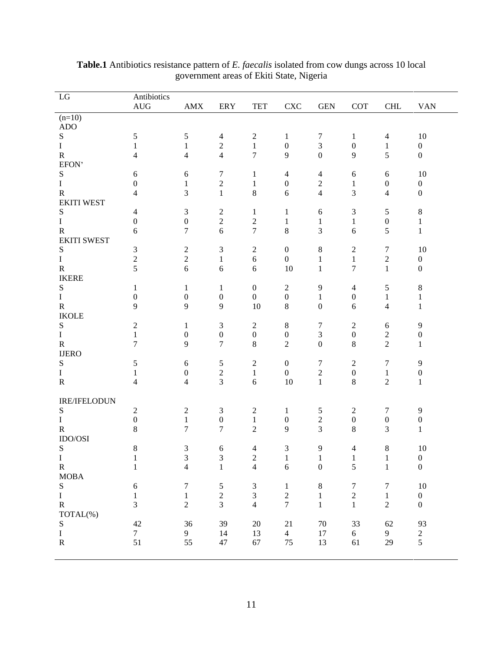| AMX ERY<br>$(n=10)$<br>ADO<br>S<br>$\mathbf{T}$<br>R<br>EFON'<br>S<br>$\overline{4}$<br>$\sigma$<br>$\mathbf{r}$<br>$\overline{0}$<br>$\overline{a}$<br>$\mathbf{R}$<br>$\overline{4}$<br><b>EKITI WEST</b><br>S<br>$\overline{0}$<br>$\overline{a}$<br>$\mathbf R$<br>6<br><b>EKITI SWEST</b><br>S<br>R<br>IKERE<br>$\sim$<br>-6<br>S<br>$\overline{0}$<br>$R$<br>IKOLE<br>$\overline{9}$<br>$\mathbf{q}$<br>S<br>$\gamma$<br>$\overline{a}$<br>$\mathbf{I}$<br>$\overline{0}$<br>$R$<br>IJERO<br>$7\overline{ }$<br>$\overline{z}$<br>S<br>$\mathbf R$<br>$\overline{4}$<br>$\overline{4}$<br>IRE/IFELODUN<br>S<br>$\Omega$<br>$\theta$<br>$\mathbf R$<br>$\overline{7}$<br>$\overline{z}$<br>8 <sup>8</sup><br>IDO/OSI<br>S<br>8 <sup>8</sup><br>$\sigma$<br>$\overline{a}$<br>$\mathcal{R}$<br>$\mathbf{r}$<br>R<br>MOBA<br>S<br>I<br>$\overline{1}$<br>$\overline{4}$<br>$\theta$<br>I<br>R<br>TOTAL(%)<br>S<br>I<br>$\begin{array}{c} 42 \\ 7 \\ 51 \end{array}$<br>$\begin{array}{c} 36 \\ 9 \\ 55 \end{array}$<br>39<br>14<br>47<br>$\mathbf R$ | LG | Antibiotics |  |                                               |                |                                               |                                              |                                              |                                   |
|---------------------------------------------------------------------------------------------------------------------------------------------------------------------------------------------------------------------------------------------------------------------------------------------------------------------------------------------------------------------------------------------------------------------------------------------------------------------------------------------------------------------------------------------------------------------------------------------------------------------------------------------------------------------------------------------------------------------------------------------------------------------------------------------------------------------------------------------------------------------------------------------------------------------------------------------------------------------------------------------------------------------------------------------------------|----|-------------|--|-----------------------------------------------|----------------|-----------------------------------------------|----------------------------------------------|----------------------------------------------|-----------------------------------|
|                                                                                                                                                                                                                                                                                                                                                                                                                                                                                                                                                                                                                                                                                                                                                                                                                                                                                                                                                                                                                                                         |    | AUG         |  | <b>TET</b>                                    | <b>CXC</b>     | <b>GEN</b>                                    |                                              | COT CHL VAN                                  |                                   |
|                                                                                                                                                                                                                                                                                                                                                                                                                                                                                                                                                                                                                                                                                                                                                                                                                                                                                                                                                                                                                                                         |    |             |  |                                               |                |                                               |                                              |                                              | the control of the control of the |
|                                                                                                                                                                                                                                                                                                                                                                                                                                                                                                                                                                                                                                                                                                                                                                                                                                                                                                                                                                                                                                                         |    |             |  |                                               |                |                                               |                                              |                                              |                                   |
|                                                                                                                                                                                                                                                                                                                                                                                                                                                                                                                                                                                                                                                                                                                                                                                                                                                                                                                                                                                                                                                         |    |             |  |                                               |                |                                               |                                              |                                              | 10                                |
|                                                                                                                                                                                                                                                                                                                                                                                                                                                                                                                                                                                                                                                                                                                                                                                                                                                                                                                                                                                                                                                         |    |             |  |                                               |                |                                               |                                              |                                              |                                   |
|                                                                                                                                                                                                                                                                                                                                                                                                                                                                                                                                                                                                                                                                                                                                                                                                                                                                                                                                                                                                                                                         |    |             |  | $\mathbf{z}$                                  |                |                                               | $\Omega$                                     |                                              |                                   |
|                                                                                                                                                                                                                                                                                                                                                                                                                                                                                                                                                                                                                                                                                                                                                                                                                                                                                                                                                                                                                                                         |    |             |  |                                               |                |                                               |                                              |                                              |                                   |
|                                                                                                                                                                                                                                                                                                                                                                                                                                                                                                                                                                                                                                                                                                                                                                                                                                                                                                                                                                                                                                                         |    |             |  |                                               |                |                                               |                                              |                                              | 10                                |
|                                                                                                                                                                                                                                                                                                                                                                                                                                                                                                                                                                                                                                                                                                                                                                                                                                                                                                                                                                                                                                                         |    |             |  |                                               |                |                                               |                                              |                                              |                                   |
|                                                                                                                                                                                                                                                                                                                                                                                                                                                                                                                                                                                                                                                                                                                                                                                                                                                                                                                                                                                                                                                         |    |             |  |                                               |                |                                               |                                              | $\bf{0}$                                     | $\Omega$                          |
|                                                                                                                                                                                                                                                                                                                                                                                                                                                                                                                                                                                                                                                                                                                                                                                                                                                                                                                                                                                                                                                         |    |             |  | - 8                                           |                |                                               |                                              | $\overline{4}$                               |                                   |
|                                                                                                                                                                                                                                                                                                                                                                                                                                                                                                                                                                                                                                                                                                                                                                                                                                                                                                                                                                                                                                                         |    |             |  |                                               |                |                                               |                                              |                                              |                                   |
|                                                                                                                                                                                                                                                                                                                                                                                                                                                                                                                                                                                                                                                                                                                                                                                                                                                                                                                                                                                                                                                         |    |             |  |                                               |                |                                               |                                              |                                              |                                   |
|                                                                                                                                                                                                                                                                                                                                                                                                                                                                                                                                                                                                                                                                                                                                                                                                                                                                                                                                                                                                                                                         |    |             |  | $\overline{\phantom{a}}$                      |                |                                               |                                              | $\overline{0}$                               |                                   |
|                                                                                                                                                                                                                                                                                                                                                                                                                                                                                                                                                                                                                                                                                                                                                                                                                                                                                                                                                                                                                                                         |    |             |  | $\overline{ }$                                |                |                                               |                                              |                                              |                                   |
|                                                                                                                                                                                                                                                                                                                                                                                                                                                                                                                                                                                                                                                                                                                                                                                                                                                                                                                                                                                                                                                         |    |             |  |                                               |                |                                               |                                              |                                              |                                   |
|                                                                                                                                                                                                                                                                                                                                                                                                                                                                                                                                                                                                                                                                                                                                                                                                                                                                                                                                                                                                                                                         |    |             |  |                                               |                |                                               |                                              |                                              | 10                                |
|                                                                                                                                                                                                                                                                                                                                                                                                                                                                                                                                                                                                                                                                                                                                                                                                                                                                                                                                                                                                                                                         |    |             |  | റ                                             |                |                                               |                                              |                                              |                                   |
|                                                                                                                                                                                                                                                                                                                                                                                                                                                                                                                                                                                                                                                                                                                                                                                                                                                                                                                                                                                                                                                         |    |             |  | - 6                                           | 10             |                                               | $\mathbf{\tau}$                              |                                              |                                   |
|                                                                                                                                                                                                                                                                                                                                                                                                                                                                                                                                                                                                                                                                                                                                                                                                                                                                                                                                                                                                                                                         |    |             |  |                                               |                |                                               |                                              |                                              |                                   |
|                                                                                                                                                                                                                                                                                                                                                                                                                                                                                                                                                                                                                                                                                                                                                                                                                                                                                                                                                                                                                                                         |    |             |  |                                               |                |                                               |                                              |                                              |                                   |
|                                                                                                                                                                                                                                                                                                                                                                                                                                                                                                                                                                                                                                                                                                                                                                                                                                                                                                                                                                                                                                                         |    |             |  |                                               |                |                                               |                                              |                                              |                                   |
|                                                                                                                                                                                                                                                                                                                                                                                                                                                                                                                                                                                                                                                                                                                                                                                                                                                                                                                                                                                                                                                         |    |             |  | $\theta$<br>10                                |                | $\Omega$                                      |                                              |                                              |                                   |
|                                                                                                                                                                                                                                                                                                                                                                                                                                                                                                                                                                                                                                                                                                                                                                                                                                                                                                                                                                                                                                                         |    |             |  |                                               |                |                                               |                                              |                                              |                                   |
|                                                                                                                                                                                                                                                                                                                                                                                                                                                                                                                                                                                                                                                                                                                                                                                                                                                                                                                                                                                                                                                         |    |             |  |                                               |                |                                               |                                              |                                              |                                   |
|                                                                                                                                                                                                                                                                                                                                                                                                                                                                                                                                                                                                                                                                                                                                                                                                                                                                                                                                                                                                                                                         |    |             |  |                                               |                |                                               |                                              |                                              |                                   |
|                                                                                                                                                                                                                                                                                                                                                                                                                                                                                                                                                                                                                                                                                                                                                                                                                                                                                                                                                                                                                                                         |    |             |  | $\overline{0}$                                |                |                                               |                                              |                                              |                                   |
|                                                                                                                                                                                                                                                                                                                                                                                                                                                                                                                                                                                                                                                                                                                                                                                                                                                                                                                                                                                                                                                         |    |             |  |                                               | $\bigcap$      |                                               |                                              | $\bigcap$                                    |                                   |
|                                                                                                                                                                                                                                                                                                                                                                                                                                                                                                                                                                                                                                                                                                                                                                                                                                                                                                                                                                                                                                                         |    |             |  |                                               |                |                                               |                                              |                                              |                                   |
|                                                                                                                                                                                                                                                                                                                                                                                                                                                                                                                                                                                                                                                                                                                                                                                                                                                                                                                                                                                                                                                         |    |             |  |                                               |                |                                               |                                              |                                              |                                   |
|                                                                                                                                                                                                                                                                                                                                                                                                                                                                                                                                                                                                                                                                                                                                                                                                                                                                                                                                                                                                                                                         |    |             |  |                                               |                |                                               |                                              |                                              |                                   |
|                                                                                                                                                                                                                                                                                                                                                                                                                                                                                                                                                                                                                                                                                                                                                                                                                                                                                                                                                                                                                                                         |    |             |  | - 6                                           | 10             |                                               |                                              | $\gamma$                                     |                                   |
|                                                                                                                                                                                                                                                                                                                                                                                                                                                                                                                                                                                                                                                                                                                                                                                                                                                                                                                                                                                                                                                         |    |             |  |                                               |                |                                               |                                              |                                              |                                   |
|                                                                                                                                                                                                                                                                                                                                                                                                                                                                                                                                                                                                                                                                                                                                                                                                                                                                                                                                                                                                                                                         |    |             |  |                                               |                |                                               |                                              |                                              |                                   |
|                                                                                                                                                                                                                                                                                                                                                                                                                                                                                                                                                                                                                                                                                                                                                                                                                                                                                                                                                                                                                                                         |    |             |  |                                               |                |                                               |                                              |                                              |                                   |
|                                                                                                                                                                                                                                                                                                                                                                                                                                                                                                                                                                                                                                                                                                                                                                                                                                                                                                                                                                                                                                                         |    |             |  |                                               |                |                                               |                                              | $\overline{0}$                               |                                   |
|                                                                                                                                                                                                                                                                                                                                                                                                                                                                                                                                                                                                                                                                                                                                                                                                                                                                                                                                                                                                                                                         |    |             |  | $\bigcap$                                     |                | $\overline{2}$                                |                                              | $\gamma$                                     |                                   |
|                                                                                                                                                                                                                                                                                                                                                                                                                                                                                                                                                                                                                                                                                                                                                                                                                                                                                                                                                                                                                                                         |    |             |  |                                               |                |                                               |                                              |                                              |                                   |
|                                                                                                                                                                                                                                                                                                                                                                                                                                                                                                                                                                                                                                                                                                                                                                                                                                                                                                                                                                                                                                                         |    |             |  |                                               |                |                                               |                                              |                                              | 10                                |
|                                                                                                                                                                                                                                                                                                                                                                                                                                                                                                                                                                                                                                                                                                                                                                                                                                                                                                                                                                                                                                                         |    |             |  | $\gamma$                                      |                |                                               |                                              | - 8                                          | $\Omega$                          |
|                                                                                                                                                                                                                                                                                                                                                                                                                                                                                                                                                                                                                                                                                                                                                                                                                                                                                                                                                                                                                                                         |    |             |  |                                               |                |                                               |                                              |                                              |                                   |
|                                                                                                                                                                                                                                                                                                                                                                                                                                                                                                                                                                                                                                                                                                                                                                                                                                                                                                                                                                                                                                                         |    |             |  |                                               |                |                                               |                                              |                                              |                                   |
|                                                                                                                                                                                                                                                                                                                                                                                                                                                                                                                                                                                                                                                                                                                                                                                                                                                                                                                                                                                                                                                         |    |             |  |                                               |                |                                               |                                              |                                              |                                   |
|                                                                                                                                                                                                                                                                                                                                                                                                                                                                                                                                                                                                                                                                                                                                                                                                                                                                                                                                                                                                                                                         |    |             |  |                                               |                |                                               |                                              |                                              |                                   |
|                                                                                                                                                                                                                                                                                                                                                                                                                                                                                                                                                                                                                                                                                                                                                                                                                                                                                                                                                                                                                                                         |    |             |  |                                               |                |                                               |                                              |                                              |                                   |
|                                                                                                                                                                                                                                                                                                                                                                                                                                                                                                                                                                                                                                                                                                                                                                                                                                                                                                                                                                                                                                                         |    |             |  |                                               |                |                                               |                                              |                                              |                                   |
|                                                                                                                                                                                                                                                                                                                                                                                                                                                                                                                                                                                                                                                                                                                                                                                                                                                                                                                                                                                                                                                         |    |             |  |                                               |                |                                               |                                              |                                              |                                   |
|                                                                                                                                                                                                                                                                                                                                                                                                                                                                                                                                                                                                                                                                                                                                                                                                                                                                                                                                                                                                                                                         |    |             |  |                                               |                |                                               | $\begin{array}{c} 33 \\ 6 \\ 61 \end{array}$ | $\begin{array}{c} 62 \\ 9 \\ 29 \end{array}$ |                                   |
|                                                                                                                                                                                                                                                                                                                                                                                                                                                                                                                                                                                                                                                                                                                                                                                                                                                                                                                                                                                                                                                         |    |             |  | $\begin{array}{c} 20 \\ 13 \\ 67 \end{array}$ |                | $\begin{array}{c} 70 \\ 17 \\ 13 \end{array}$ |                                              |                                              | $\frac{93}{2}$                    |
|                                                                                                                                                                                                                                                                                                                                                                                                                                                                                                                                                                                                                                                                                                                                                                                                                                                                                                                                                                                                                                                         |    |             |  |                                               | $\frac{4}{75}$ |                                               |                                              |                                              | $\sqrt{5}$                        |
|                                                                                                                                                                                                                                                                                                                                                                                                                                                                                                                                                                                                                                                                                                                                                                                                                                                                                                                                                                                                                                                         |    |             |  |                                               |                |                                               |                                              |                                              |                                   |

**Table.1** Antibiotics resistance pattern of *E. faecalis* isolated from cow dungs across 10 local government areas of Ekiti State, Nigeria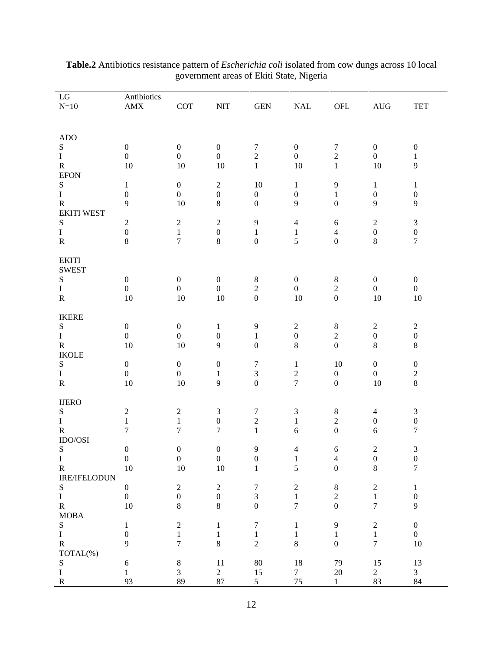| $\operatorname{LG} \ \text{N=10}$                                       | Antibiotics<br>AMX | <b>COT</b>                 | <b>NIT</b>                        | GEN                                  | NAL                                            | OFL                                  | AUG                                   | <b>TET</b>                              |
|-------------------------------------------------------------------------|--------------------|----------------------------|-----------------------------------|--------------------------------------|------------------------------------------------|--------------------------------------|---------------------------------------|-----------------------------------------|
| ADO                                                                     |                    |                            |                                   |                                      |                                                |                                      |                                       |                                         |
| S<br>$\mathbf{I}$                                                       |                    | $\overline{0}$             | $\theta$<br>$\overline{0}$        | $\bigcap$                            |                                                |                                      | $\mathbf{0}$<br>$\overline{0}$        |                                         |
|                                                                         | 10                 | 10                         | 10                                |                                      | 10                                             |                                      | 10                                    | $\overline{9}$                          |
| R<br>EFON<br>S                                                          |                    |                            |                                   |                                      |                                                |                                      |                                       |                                         |
| $\mathbf{T}$                                                            |                    | $\overline{0}$             | 2                                 | 10                                   |                                                | - 9                                  |                                       |                                         |
|                                                                         | Q                  | 10                         | $\overline{0}$<br>8 <sup>8</sup>  | $\overline{0}$                       | 9                                              | $\overline{0}$                       | $\begin{matrix}0\\9\end{matrix}$      | $\overline{0}$<br>9 <sup>°</sup>        |
|                                                                         |                    |                            |                                   |                                      |                                                |                                      |                                       |                                         |
| R<br>EKITI WEST<br>S                                                    | $\overline{a}$     |                            | 2                                 |                                      | -4                                             | - 6                                  | 2                                     |                                         |
| $\begin{array}{c} \text{I} \\ \text{R} \end{array}$                     |                    | $\overline{z}$             | $\overline{0}$                    |                                      |                                                | $\overline{4}$<br>$\overline{0}$     | $\frac{0}{8}$                         | $\overline{0}$<br>$7\overline{ }$       |
|                                                                         |                    |                            | 8                                 | $\overline{0}$                       | 5 <sup>5</sup>                                 |                                      |                                       |                                         |
| EKITI<br>SWEST<br>S<br>I<br>R                                           |                    |                            |                                   |                                      |                                                |                                      |                                       |                                         |
|                                                                         |                    |                            |                                   |                                      |                                                |                                      |                                       |                                         |
|                                                                         | $\overline{0}$     | $\theta$<br>$\overline{0}$ | $\mathbf{0}$<br>$\overline{0}$    |                                      |                                                | - 8<br>$\gamma$                      | $\overline{0}$<br>$\mathbf{0}$        | $\mathbf{0}$<br>$\overline{\mathbf{0}}$ |
|                                                                         | 10                 | 10                         | 10                                | $\overline{\mathbf{0}}$              | 10                                             | $\overline{0}$                       | 10                                    | 10                                      |
|                                                                         |                    |                            |                                   |                                      |                                                |                                      |                                       |                                         |
| IKERE<br>S                                                              |                    |                            |                                   |                                      |                                                |                                      |                                       |                                         |
|                                                                         | $\overline{0}$     | $\theta$<br>$\overline{0}$ | $\overline{0}$                    |                                      |                                                | - 8<br>$\bigcap$                     | 2                                     | $\overline{0}$                          |
|                                                                         | 10                 | 10                         | 9                                 | $\overline{0}$                       |                                                | $\overline{L}$<br>$\overline{0}$     | $\begin{array}{c} 0 \\ 8 \end{array}$ | 8                                       |
| $\begin{array}{c} \text{I} \\ \text{R} \\ \text{IKOLE} \end{array}$     |                    |                            |                                   |                                      |                                                |                                      |                                       |                                         |
| S                                                                       |                    | $\overline{0}$             | $\mathbf{0}$                      |                                      |                                                | 10                                   | $\overline{0}$                        | $\overline{0}$                          |
| $\frac{I}{R}$                                                           | 10                 | $\overline{0}$<br>10       | 9                                 | $\overline{0}$                       | $\bigcap$<br>$\overline{a}$<br>$7\overline{ }$ | $\begin{matrix} 0 \\ 0 \end{matrix}$ | $\begin{matrix}0\\10\end{matrix}$     | $\gamma$<br>$\mathcal{L}$<br>8          |
|                                                                         |                    |                            |                                   |                                      |                                                |                                      |                                       |                                         |
| $\underset{\text{S}}{\text{UERO}}$                                      |                    |                            |                                   |                                      |                                                |                                      |                                       |                                         |
|                                                                         |                    |                            |                                   |                                      |                                                |                                      | $-4$                                  |                                         |
| $\;$ I $\;$                                                             | $\overline{7}$     | $\overline{z}$             | $\overline{0}$<br>$7\overline{ }$ | $\overline{a}$                       | 6                                              | $\overline{L}$<br>$\overline{0}$     | $\mathbf{0}$<br>6                     | $\overline{0}$<br>$\overline{7}$        |
| $\rm R$ IDO/OSI                                                         |                    |                            |                                   |                                      |                                                |                                      |                                       |                                         |
| S                                                                       |                    | $\mathbf{0}$               | $\overline{0}$                    | $\begin{matrix} 9 \\ 0 \end{matrix}$ | $\overline{4}$                                 | - 6                                  | $\overline{2}$                        |                                         |
| $\mathbf{I}$                                                            | $\overline{0}$     | $\overline{0}$             | $\overline{\mathbf{0}}$           |                                      | $\sim$ 1                                       | $\overline{4}$                       | $\overline{0}$                        | $\overline{0}$                          |
|                                                                         | 10                 | 10                         | 10                                |                                      |                                                |                                      |                                       |                                         |
|                                                                         |                    |                            |                                   |                                      |                                                |                                      |                                       |                                         |
|                                                                         |                    |                            |                                   |                                      |                                                |                                      |                                       |                                         |
| I<br>RE/IFELODUN<br>S<br>I<br>R<br>MOBA<br>S<br>I<br>TOTAL(%)<br>S<br>I | 10                 |                            |                                   |                                      |                                                |                                      |                                       |                                         |
|                                                                         |                    |                            |                                   |                                      |                                                |                                      |                                       |                                         |
|                                                                         |                    |                            |                                   |                                      |                                                |                                      |                                       |                                         |
|                                                                         |                    |                            |                                   |                                      |                                                |                                      |                                       | 10 <sup>1</sup>                         |
|                                                                         |                    |                            |                                   |                                      |                                                |                                      |                                       |                                         |
|                                                                         |                    |                            |                                   | 80                                   |                                                | $\frac{79}{20}$                      | 15                                    | $\frac{13}{3}$                          |
| $\overline{R}$                                                          |                    | 89                         |                                   |                                      |                                                |                                      | $rac{2}{83}$                          | 84                                      |
|                                                                         |                    |                            |                                   |                                      |                                                |                                      |                                       |                                         |

| Table.<br>resistance pattern of<br>t <i>Escherichia coli</i> isolated from cow dungs across 10 local<br>ntibiotics |  |
|--------------------------------------------------------------------------------------------------------------------|--|
| Nigeria<br>ment areas of Ekiti State, I<br>$\alpha$ rnman                                                          |  |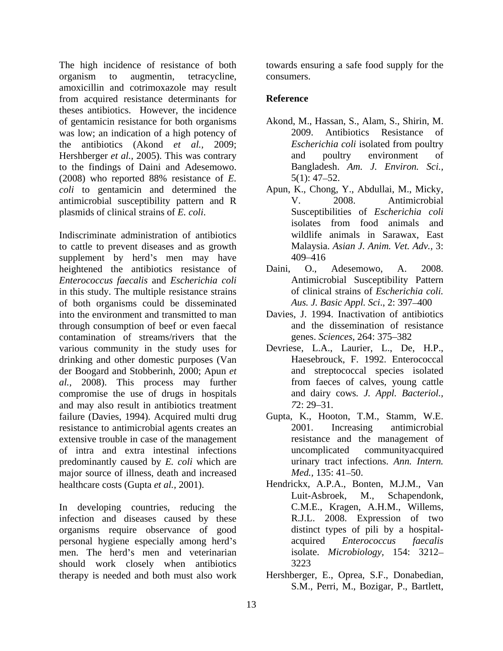The high incidence of resistance of both organism to augmentin, tetracycline, amoxicillin and cotrimoxazole may result from acquired resistance determinants for theses antibiotics. However, the incidence of gentamicin resistance for both organisms Akond, M., I<br>was low: an indication of a high potency of 2009. was low; an indication of a high potency of 2009. Antibiotics Resistance of the antibiotics (Akond *et al.,* 2009; Hershberger *et al.*, 2005). This was contrary and poultry environment of to the findings of Daini and Adesemowo. (2008) who reported 88% resistance of *E. coli* to gentamicin and determined the antimicrobial susceptibility pattern and R plasmids of clinical strains of *E. coli*. Susceptibilities of *Escherichia coli*

Indiscriminate administration of antibiotics to cattle to prevent diseases and as growth supplement by herd's men may have 409–416 heightened the antibiotics resistance of Daini, O., Adesemowo, A. 2008. *Enterococcus faecalis* and *Escherichia coli* in this study. The multiple resistance strains of both organisms could be disseminated into the environment and transmitted to man through consumption of beef or even faecal contamination of streams/rivers that the various community in the study uses for drinking and other domestic purposes (Van der Boogard and Stobberinh, 2000; Apun *et al.,* 2008). This process may further compromise the use of drugs in hospitals and may also result in antibiotics treatment  $72: 29-31$ . failure (Davies, 1994). Acquired multi drug resistance to antimicrobial agents creates an 2001. Increasing antimicrobial extensive trouble in case of the management of intra and extra intestinal infections predominantly caused by *E. coli* which are a urinary tract infer maior source of illness, death and increased *Med.*, 135: 41–50. major source of illness, death and increased

In developing countries, reducing the infection and diseases caused by these organisms require observance of good personal hygiene especially among herd's acquired *Enterococcus faecalis* men. The herd's men and veterinarian should work closely when antibiotics 3223 therapy is needed and both must also work

towards ensuring a safe food supply for the consumers.

## **Reference**

- Akond, M., Hassan, S., Alam, S., Shirin, M. 2009. Antibiotics Resistance of *Escherichia coli* isolated from poultry and poultry environment of Bangladesh. *Am. J. Environ. Sci.,*  $5(1)$ : 47–52.
- Apun, K., Chong, Y., Abdullai, M., Micky, V. 2008. Antimicrobial isolates from food animals and wildlife animals in Sarawax, East Malaysia. *Asian J. Anim. Vet. Adv.,* 3: 409 416
- Daini, O., Adesemowo, A. 2008. Antimicrobial Susceptibility Pattern of clinical strains of *Escherichia coli. Aus. J. Basic Appl. Sci., 2: 397–400*
- Davies, J. 1994. Inactivation of antibiotics and the dissemination of resistance genes. *Sciences*, 264: 375–382
- Devriese, L.A., Laurier, L., De, H.P., Haesebrouck, F. 1992. Enterococcal and streptococcal species isolated from faeces of calves, young cattle and dairy cows*. J. Appl. Bacteriol., 72*: 29–31.
- Gupta, K., Hooton, T.M., Stamm, W.E. 2001. Increasing antimicrobial resistance and the management of uncomplicated communityacquired urinary tract infections. *Ann. Intern. Med.,* 135: 41–50.
- healthcare costs (Gupta *et al.,* 2001). Hendrickx, A.P.A., Bonten, M.J.M., Van Luit-Asbroek, M., Schapendonk, C.M.E., Kragen, A.H.M., Willems, R.J.L. 2008. Expression of two distinct types of pili by a hospital acquired *Enterococcus faecalis* isolate. *Microbiology,* 154: 3212 3223
	- Hershberger, E., Oprea, S.F., Donabedian, S.M., Perri, M., Bozigar, P., Bartlett,